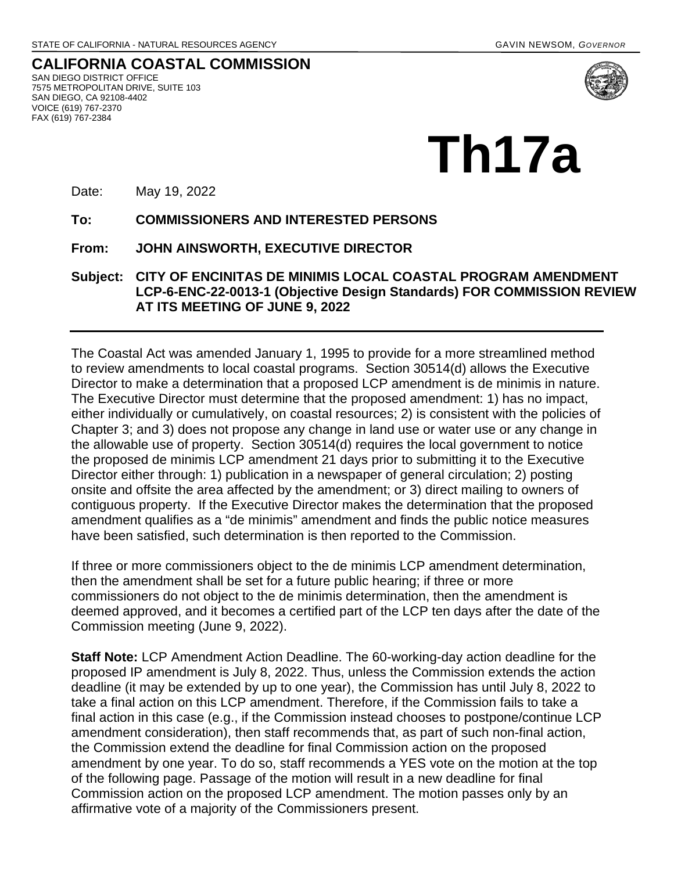**CALIFORNIA COASTAL COMMISSION** SAN DIEGO DISTRICT OFFICE 7575 METROPOLITAN DRIVE, SUITE 103 SAN DIEGO, CA 92108-4402 VOICE (619) 767-2370 FAX (619) 767-2384



Date: May 19, 2022

**To: COMMISSIONERS AND INTERESTED PERSONS** 

**From: JOHN AINSWORTH, EXECUTIVE DIRECTOR**

#### **Subject: CITY OF ENCINITAS DE MINIMIS LOCAL COASTAL PROGRAM AMENDMENT LCP-6-ENC-22-0013-1 (Objective Design Standards) FOR COMMISSION REVIEW AT ITS MEETING OF JUNE 9, 2022**

The Coastal Act was amended January 1, 1995 to provide for a more streamlined method to review amendments to local coastal programs. Section 30514(d) allows the Executive Director to make a determination that a proposed LCP amendment is de minimis in nature. The Executive Director must determine that the proposed amendment: 1) has no impact, either individually or cumulatively, on coastal resources; 2) is consistent with the policies of Chapter 3; and 3) does not propose any change in land use or water use or any change in the allowable use of property. Section 30514(d) requires the local government to notice the proposed de minimis LCP amendment 21 days prior to submitting it to the Executive Director either through: 1) publication in a newspaper of general circulation; 2) posting onsite and offsite the area affected by the amendment; or 3) direct mailing to owners of contiguous property. If the Executive Director makes the determination that the proposed amendment qualifies as a "de minimis" amendment and finds the public notice measures have been satisfied, such determination is then reported to the Commission.

If three or more commissioners object to the de minimis LCP amendment determination, then the amendment shall be set for a future public hearing; if three or more commissioners do not object to the de minimis determination, then the amendment is deemed approved, and it becomes a certified part of the LCP ten days after the date of the Commission meeting (June 9, 2022).

**Staff Note:** LCP Amendment Action Deadline. The 60-working-day action deadline for the proposed IP amendment is July 8, 2022. Thus, unless the Commission extends the action deadline (it may be extended by up to one year), the Commission has until July 8, 2022 to take a final action on this LCP amendment. Therefore, if the Commission fails to take a final action in this case (e.g., if the Commission instead chooses to postpone/continue LCP amendment consideration), then staff recommends that, as part of such non-final action, the Commission extend the deadline for final Commission action on the proposed amendment by one year. To do so, staff recommends a YES vote on the motion at the top of the following page. Passage of the motion will result in a new deadline for final Commission action on the proposed LCP amendment. The motion passes only by an affirmative vote of a majority of the Commissioners present.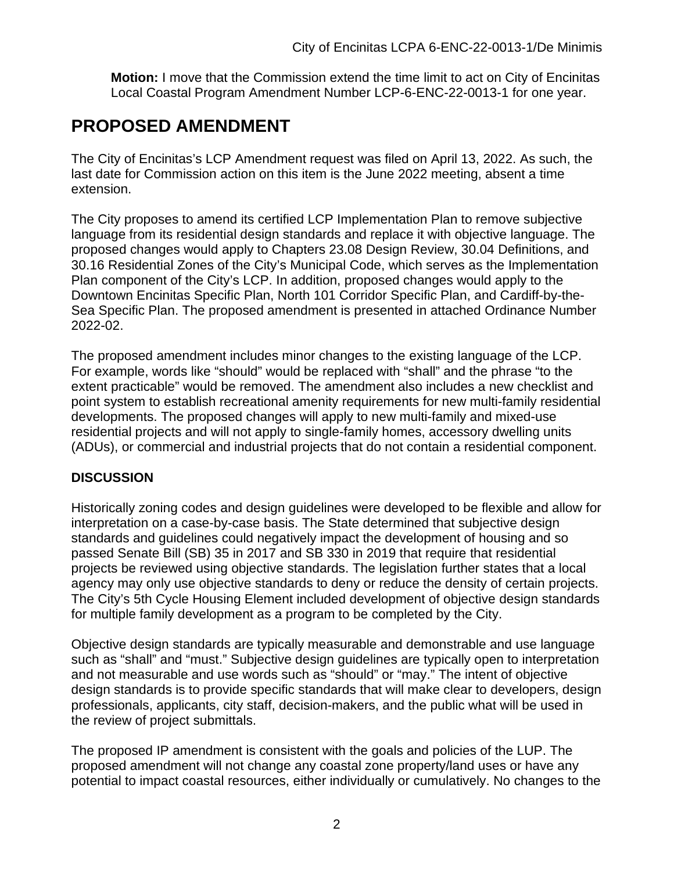**Motion:** I move that the Commission extend the time limit to act on City of Encinitas Local Coastal Program Amendment Number LCP-6-ENC-22-0013-1 for one year.

# **PROPOSED AMENDMENT**

The City of Encinitas's LCP Amendment request was filed on April 13, 2022. As such, the last date for Commission action on this item is the June 2022 meeting, absent a time extension.

The City proposes to amend its certified LCP Implementation Plan to remove subjective language from its residential design standards and replace it with objective language. The proposed changes would apply to Chapters 23.08 Design Review, 30.04 Definitions, and 30.16 Residential Zones of the City's Municipal Code, which serves as the Implementation Plan component of the City's LCP. In addition, proposed changes would apply to the Downtown Encinitas Specific Plan, North 101 Corridor Specific Plan, and Cardiff-by-the-Sea Specific Plan. The proposed amendment is presented in attached Ordinance Number 2022-02.

The proposed amendment includes minor changes to the existing language of the LCP. For example, words like "should" would be replaced with "shall" and the phrase "to the extent practicable" would be removed. The amendment also includes a new checklist and point system to establish recreational amenity requirements for new multi-family residential developments. The proposed changes will apply to new multi-family and mixed-use residential projects and will not apply to single-family homes, accessory dwelling units (ADUs), or commercial and industrial projects that do not contain a residential component.

### **DISCUSSION**

Historically zoning codes and design guidelines were developed to be flexible and allow for interpretation on a case-by-case basis. The State determined that subjective design standards and guidelines could negatively impact the development of housing and so passed Senate Bill (SB) 35 in 2017 and SB 330 in 2019 that require that residential projects be reviewed using objective standards. The legislation further states that a local agency may only use objective standards to deny or reduce the density of certain projects. The City's 5th Cycle Housing Element included development of objective design standards for multiple family development as a program to be completed by the City.

Objective design standards are typically measurable and demonstrable and use language such as "shall" and "must." Subjective design guidelines are typically open to interpretation and not measurable and use words such as "should" or "may." The intent of objective design standards is to provide specific standards that will make clear to developers, design professionals, applicants, city staff, decision-makers, and the public what will be used in the review of project submittals.

The proposed IP amendment is consistent with the goals and policies of the LUP. The proposed amendment will not change any coastal zone property/land uses or have any potential to impact coastal resources, either individually or cumulatively. No changes to the